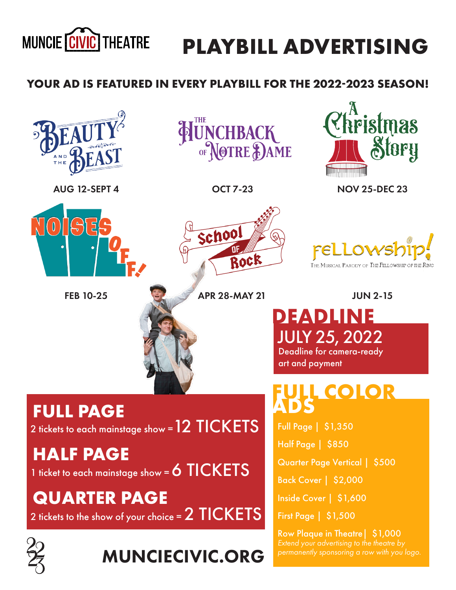

## **PLAYBILL ADVERTISING**

## **YOUR AD IS FEATURED IN EVERY PLAYBILL FOR THE 2022-2023 SEASON!**







OCT 7-23 NOV 25-DEC 23



AUG 12-SEPT 4

FEB 10-25 APR 28-MAY 21 JUN 2-15

School Rock

THE MUSICAL PARODY OF THE FELLOWSHIP

**DEADLINE** JULY 25, 2022 Deadline for camera-ready art and payment

*EOLOR* 

Full Page | \$1,350

Half Page | \$850

Quarter Page Vertical | \$500

Back Cover | \$2,000

Inside Cover | \$1,600

First Page | \$1,500

Row Plaque in Theatre| \$1,000 *permanently sponsoring a row with you logo.* 



 $2$  tickets to each mainstage show =  $12$   $TICKETS$ 

**HALF PAGE**

1 ticket to each mainstage show = 6 TICKETS

**QUARTER PAGE** 2 tickets to the show of your choice = 2 TICKETS